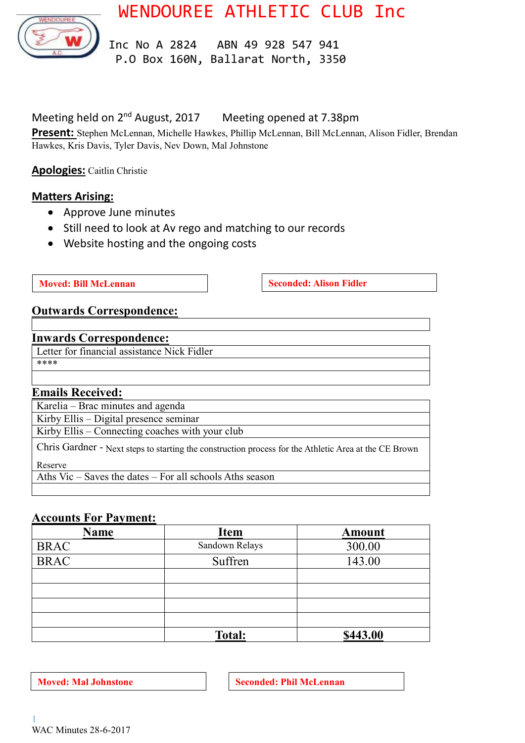WENDOUREE ATHLETIC CLUB Inc



 Inc No A 2824 ABN 49 928 547 941 P.O Box 160N, Ballarat North, 3350

#### Meeting held on 2<sup>nd</sup> August, 2017 Meeting opened at 7.38pm

**Present:** Stephen McLennan, Michelle Hawkes, Phillip McLennan, Bill McLennan, Alison Fidler, Brendan Hawkes, Kris Davis, Tyler Davis, Nev Down, Mal Johnstone

**Apologies:** Caitlin Christie

### **Matters Arising:**

- Approve June minutes
- Still need to look at Av rego and matching to our records
- Website hosting and the ongoing costs

**Moved: Bill McLennan Seconded:** Alison Fidler

### **Outwards Correspondence:**

#### **Inwards Correspondence:**

Letter for financial assistance Nick Fidler \*\*\*\*

### **Emails Received:**

Karelia – Brac minutes and agenda

Kirby Ellis – Digital presence seminar

Kirby Ellis – Connecting coaches with your club

Chris Gardner - Next steps to starting the construction process for the Athletic Area at the CE Brown Reserve

Aths Vic – Saves the dates – For all schools Aths season

### **Accounts For Payment:**

| <b>Name</b> | <b>Item</b>    | <b>Amount</b> |
|-------------|----------------|---------------|
| <b>BRAC</b> | Sandown Relays | 300.00        |
| <b>BRAC</b> | Suffren        | 143.00        |
|             |                |               |
|             |                |               |
|             |                |               |
|             |                |               |
|             | <b>Total:</b>  | \$443.00      |

**Moved:** Mal Johnstone **Seconded: Phil McLennan**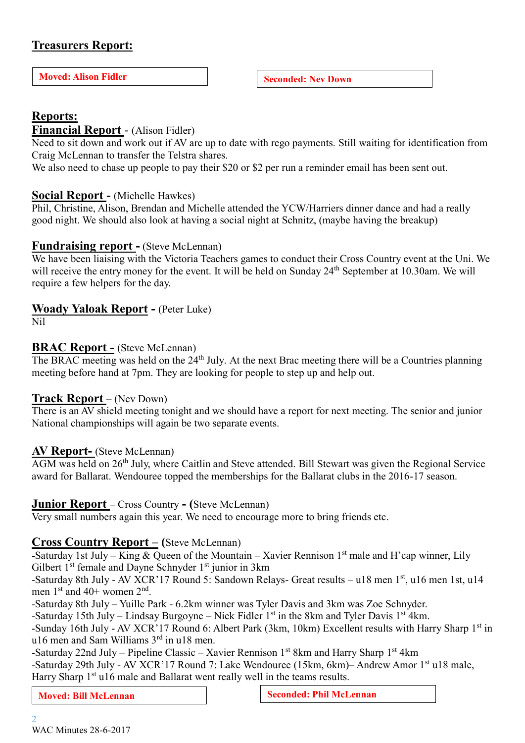# **Treasurers Report:**

**Moved:** Alison Fidler **Seconded:** Nev Down

## **Reports:**

### **Financial Report** - (Alison Fidler)

Need to sit down and work out if AV are up to date with rego payments. Still waiting for identification from Craig McLennan to transfer the Telstra shares.

We also need to chase up people to pay their \$20 or \$2 per run a reminder email has been sent out.

#### **Social Report -** (Michelle Hawkes)

Phil, Christine, Alison, Brendan and Michelle attended the YCW/Harriers dinner dance and had a really good night. We should also look at having a social night at Schnitz, (maybe having the breakup)

#### **Fundraising report -** (Steve McLennan)

We have been liaising with the Victoria Teachers games to conduct their Cross Country event at the Uni. We will receive the entry money for the event. It will be held on Sunday 24<sup>th</sup> September at 10.30am. We will require a few helpers for the day.

### **Woady Yaloak Report -** (Peter Luke)

Nil

#### **BRAC Report -** (Steve McLennan)

The BRAC meeting was held on the 24<sup>th</sup> July. At the next Brac meeting there will be a Countries planning meeting before hand at 7pm. They are looking for people to step up and help out.

### **Track Report** – (Nev Down)

There is an AV shield meeting tonight and we should have a report for next meeting. The senior and junior National championships will again be two separate events.

#### **AV Report-** (Steve McLennan)

AGM was held on 26<sup>th</sup> July, where Caitlin and Steve attended. Bill Stewart was given the Regional Service award for Ballarat. Wendouree topped the memberships for the Ballarat clubs in the 2016-17 season.

#### **Junior Report** – Cross Country **- (**Steve McLennan)

Very small numbers again this year. We need to encourage more to bring friends etc.

### **Cross Co**u**ntry Report – (**Steve McLennan)

-Saturday 1st July – King & Queen of the Mountain – Xavier Rennison  $1<sup>st</sup>$  male and H'cap winner, Lily Gilbert  $1<sup>st</sup>$  female and Dayne Schnyder  $1<sup>st</sup>$  junior in 3km

-Saturday 8th July - AV XCR'17 Round 5: Sandown Relays- Great results – u18 men 1st, u16 men 1st, u14 men  $1<sup>st</sup>$  and  $40+$  women  $2<sup>nd</sup>$ .

-Saturday 8th July – Yuille Park - 6.2km winner was Tyler Davis and 3km was Zoe Schnyder.

-Saturday 15th July – Lindsay Burgoyne – Nick Fidler  $1<sup>st</sup>$  in the 8km and Tyler Davis  $1<sup>st</sup>$  4km.

-Sunday 16th July - AV XCR'17 Round 6: Albert Park (3km, 10km) Excellent results with Harry Sharp 1<sup>st</sup> in u16 men and Sam Williams 3rd in u18 men.

-Saturday 22nd July – Pipeline Classic – Xavier Rennison  $1<sup>st</sup> 8km$  and Harry Sharp  $1<sup>st</sup> 4km$ -Saturday 29th July - AV XCR'17 Round 7: Lake Wendouree (15km, 6km) - Andrew Amor 1<sup>st</sup> u18 male, Harry Sharp 1<sup>st</sup> u16 male and Ballarat went really well in the teams results.

**Moved:** Bill McLennan **Seconded:** Phil McLennan